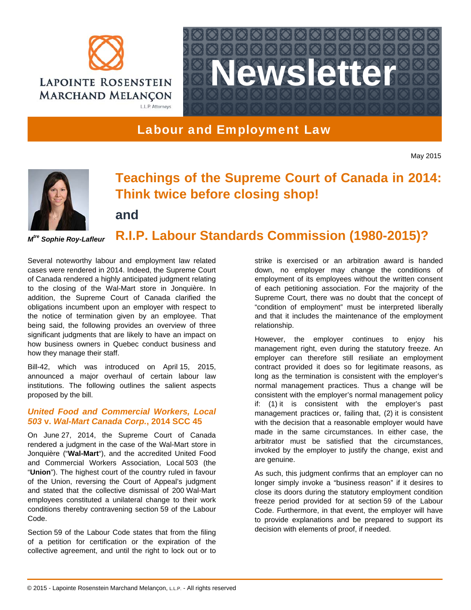



# Labour and Employment Law

May 2015



*Mtre Sophie Roy-Lafleur* 

# **Teachings of the Supreme Court of Canada in 2014: Think twice before closing shop!**

**and**

**R.I.P. Labour Standards Commission (1980-2015)?**

Several noteworthy labour and employment law related cases were rendered in 2014. Indeed, the Supreme Court of Canada rendered a highly anticipated judgment relating to the closing of the Wal-Mart store in Jonquière. In addition, the Supreme Court of Canada clarified the obligations incumbent upon an employer with respect to the notice of termination given by an employee. That being said, the following provides an overview of three significant judgments that are likely to have an impact on how business owners in Quebec conduct business and how they manage their staff.

Bill-42, which was introduced on April 15, 2015, announced a major overhaul of certain labour law institutions. The following outlines the salient aspects proposed by the bill.

## *United Food and Commercial Workers, Local 503* **v.** *Wal-Mart Canada Corp.***, 2014 SCC 45**

On June 27, 2014, the Supreme Court of Canada rendered a judgment in the case of the Wal-Mart store in Jonquière ("**Wal-Mart**"), and the accredited United Food and Commercial Workers Association, Local 503 (the "**Union**"). The highest court of the country ruled in favour of the Union, reversing the Court of Appeal's judgment and stated that the collective dismissal of 200 Wal-Mart employees constituted a unilateral change to their work conditions thereby contravening section 59 of the Labour Code.

Section 59 of the Labour Code states that from the filing of a petition for certification or the expiration of the collective agreement, and until the right to lock out or to strike is exercised or an arbitration award is handed down, no employer may change the conditions of employment of its employees without the written consent of each petitioning association. For the majority of the Supreme Court, there was no doubt that the concept of "condition of employment" must be interpreted liberally and that it includes the maintenance of the employment relationship.

However, the employer continues to enjoy his management right, even during the statutory freeze. An employer can therefore still resiliate an employment contract provided it does so for legitimate reasons, as long as the termination is consistent with the employer's normal management practices. Thus a change will be consistent with the employer's normal management policy if: (1) it is consistent with the employer's past management practices or, failing that, (2) it is consistent with the decision that a reasonable employer would have made in the same circumstances. In either case, the arbitrator must be satisfied that the circumstances, invoked by the employer to justify the change, exist and are genuine.

As such, this judgment confirms that an employer can no longer simply invoke a "business reason" if it desires to close its doors during the statutory employment condition freeze period provided for at section 59 of the Labour Code. Furthermore, in that event, the employer will have to provide explanations and be prepared to support its decision with elements of proof, if needed.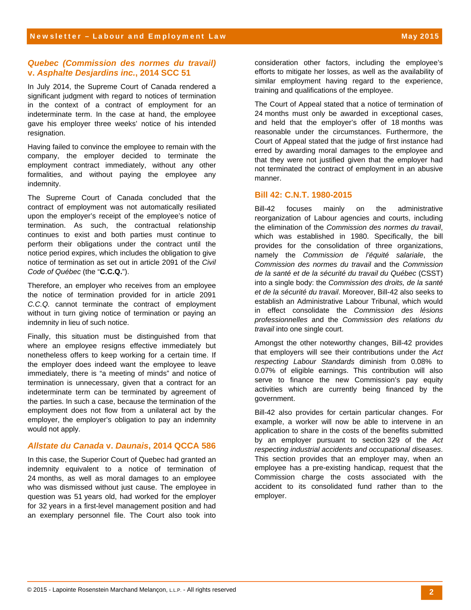#### *Quebec (Commission des normes du travail)* **v.** *Asphalte Desjardins inc.***, 2014 SCC 51**

In July 2014, the Supreme Court of Canada rendered a significant judgment with regard to notices of termination in the context of a contract of employment for an indeterminate term. In the case at hand, the employee gave his employer three weeks' notice of his intended resignation.

Having failed to convince the employee to remain with the company, the employer decided to terminate the employment contract immediately, without any other formalities, and without paying the employee any indemnity.

The Supreme Court of Canada concluded that the contract of employment was not automatically resiliated upon the employer's receipt of the employee's notice of termination. As such, the contractual relationship continues to exist and both parties must continue to perform their obligations under the contract until the notice period expires, which includes the obligation to give notice of termination as set out in article 2091 of the *Civil Code of Québec* (the "**C.C.Q.**").

Therefore, an employer who receives from an employee the notice of termination provided for in article 2091 *C.C.Q.* cannot terminate the contract of employment without in turn giving notice of termination or paying an indemnity in lieu of such notice.

Finally, this situation must be distinguished from that where an employee resigns effective immediately but nonetheless offers to keep working for a certain time. If the employer does indeed want the employee to leave immediately, there is "a meeting of minds" and notice of termination is unnecessary, given that a contract for an indeterminate term can be terminated by agreement of the parties. In such a case, because the termination of the employment does not flow from a unilateral act by the employer, the employer's obligation to pay an indemnity would not apply.

### *Allstate du Canada* **v.** *Daunais***, 2014 QCCA 586**

In this case, the Superior Court of Quebec had granted an indemnity equivalent to a notice of termination of 24 months, as well as moral damages to an employee who was dismissed without just cause. The employee in question was 51 years old, had worked for the employer for 32 years in a first-level management position and had an exemplary personnel file. The Court also took into

consideration other factors, including the employee's efforts to mitigate her losses, as well as the availability of similar employment having regard to the experience, training and qualifications of the employee.

The Court of Appeal stated that a notice of termination of 24 months must only be awarded in exceptional cases, and held that the employer's offer of 18 months was reasonable under the circumstances. Furthermore, the Court of Appeal stated that the judge of first instance had erred by awarding moral damages to the employee and that they were not justified given that the employer had not terminated the contract of employment in an abusive manner.

#### **Bill 42: C.N.T. 1980-2015**

Bill-42 focuses mainly on the administrative reorganization of Labour agencies and courts, including the elimination of the *Commission des normes du travail*, which was established in 1980. Specifically, the bill provides for the consolidation of three organizations, namely the *Commission de l'équité salariale*, the *Commission des normes du travail* and the *Commission de la santé et de la sécurité du travail du Québec* (CSST) into a single body: the *Commission des droits, de la santé et de la sécurité du travail*. Moreover, Bill-42 also seeks to establish an Administrative Labour Tribunal, which would in effect consolidate the *Commission des lésions professionnelles* and the *Commission des relations du travail* into one single court.

Amongst the other noteworthy changes, Bill-42 provides that employers will see their contributions under the *Act respecting Labour Standards* diminish from 0.08% to 0.07% of eligible earnings. This contribution will also serve to finance the new Commission's pay equity activities which are currently being financed by the government.

Bill-42 also provides for certain particular changes. For example, a worker will now be able to intervene in an application to share in the costs of the benefits submitted by an employer pursuant to section 329 of the *Act respecting industrial accidents and occupational diseases*. This section provides that an employer may, when an employee has a pre-existing handicap, request that the Commission charge the costs associated with the accident to its consolidated fund rather than to the employer.